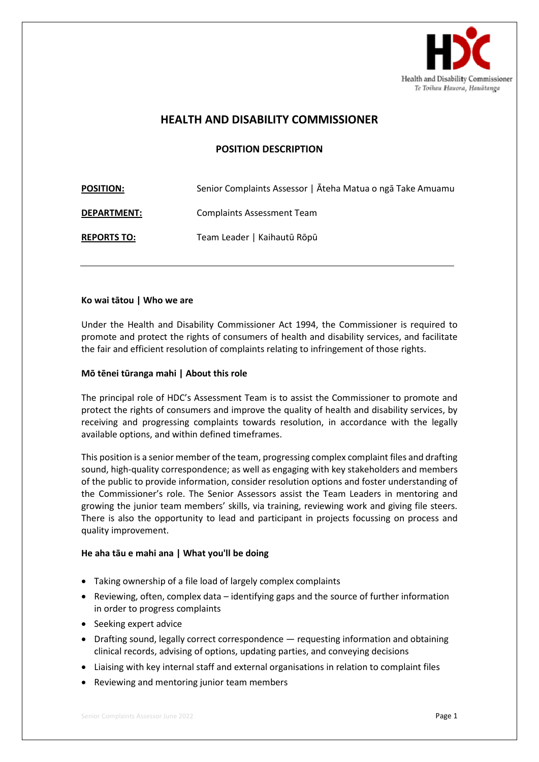

# **HEALTH AND DISABILITY COMMISSIONER**

# **POSITION DESCRIPTION**

| <b>POSITION:</b>   | Senior Complaints Assessor   Āteha Matua o ngā Take Amuamu |
|--------------------|------------------------------------------------------------|
| <b>DEPARTMENT:</b> | <b>Complaints Assessment Team</b>                          |
| <b>REPORTS TO:</b> | Team Leader   Kaihautū Rōpū                                |

#### **Ko wai tātou | Who we are**

Under the Health and Disability Commissioner Act 1994, the Commissioner is required to promote and protect the rights of consumers of health and disability services, and facilitate the fair and efficient resolution of complaints relating to infringement of those rights.

## **Mō tēnei tūranga mahi | About this role**

The principal role of HDC's Assessment Team is to assist the Commissioner to promote and protect the rights of consumers and improve the quality of health and disability services, by receiving and progressing complaints towards resolution, in accordance with the legally available options, and within defined timeframes.

This position is a senior member of the team, progressing complex complaint files and drafting sound, high-quality correspondence; as well as engaging with key stakeholders and members of the public to provide information, consider resolution options and foster understanding of the Commissioner's role. The Senior Assessors assist the Team Leaders in mentoring and growing the junior team members' skills, via training, reviewing work and giving file steers. There is also the opportunity to lead and participant in projects focussing on process and quality improvement.

## **He aha tāu e mahi ana | What you'll be doing**

- Taking ownership of a file load of largely complex complaints
- Reviewing, often, complex data identifying gaps and the source of further information in order to progress complaints
- Seeking expert advice
- Drafting sound, legally correct correspondence requesting information and obtaining clinical records, advising of options, updating parties, and conveying decisions
- Liaising with key internal staff and external organisations in relation to complaint files
- Reviewing and mentoring junior team members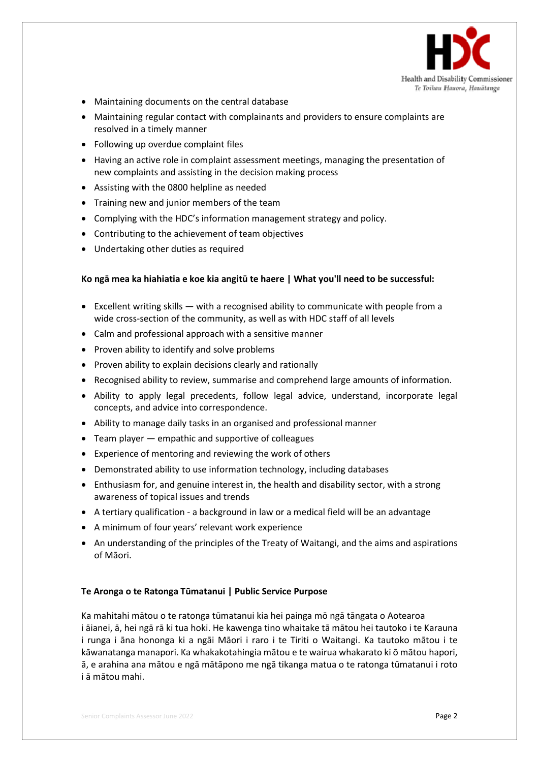

- Maintaining documents on the central database
- Maintaining regular contact with complainants and providers to ensure complaints are resolved in a timely manner
- Following up overdue complaint files
- Having an active role in complaint assessment meetings, managing the presentation of new complaints and assisting in the decision making process
- Assisting with the 0800 helpline as needed
- Training new and junior members of the team
- Complying with the HDC's information management strategy and policy.
- Contributing to the achievement of team objectives
- Undertaking other duties as required

#### **Ko ngā mea ka hiahiatia e koe kia angitū te haere | What you'll need to be successful:**

- Excellent writing skills  $-$  with a recognised ability to communicate with people from a wide cross-section of the community, as well as with HDC staff of all levels
- Calm and professional approach with a sensitive manner
- Proven ability to identify and solve problems
- Proven ability to explain decisions clearly and rationally
- Recognised ability to review, summarise and comprehend large amounts of information.
- Ability to apply legal precedents, follow legal advice, understand, incorporate legal concepts, and advice into correspondence.
- Ability to manage daily tasks in an organised and professional manner
- Team player empathic and supportive of colleagues
- Experience of mentoring and reviewing the work of others
- Demonstrated ability to use information technology, including databases
- Enthusiasm for, and genuine interest in, the health and disability sector, with a strong awareness of topical issues and trends
- A tertiary qualification a background in law or a medical field will be an advantage
- A minimum of four years' relevant work experience
- An understanding of the principles of the Treaty of Waitangi, and the aims and aspirations of Māori.

### **Te Aronga o te Ratonga Tūmatanui | Public Service Purpose**

Ka mahitahi mātou o te ratonga tūmatanui kia hei painga mō ngā tāngata o Aotearoa i āianei, ā, hei ngā rā ki tua hoki. He kawenga tino whaitake tā mātou hei tautoko i te Karauna i runga i āna hononga ki a ngāi Māori i raro i te Tiriti o Waitangi. Ka tautoko mātou i te kāwanatanga manapori. Ka whakakotahingia mātou e te wairua whakarato ki ō mātou hapori, ā, e arahina ana mātou e ngā mātāpono me ngā tikanga matua o te ratonga tūmatanui i roto i ā mātou mahi.